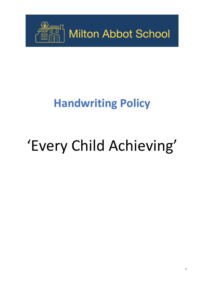

# **Handwriting Policy**

# 'Every Child Achieving'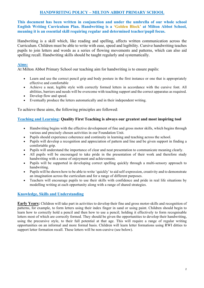# **HANDWRITING POLICY – MILTON ABBOT PRIMARY SCHOOL**

**This document has been written in conjunction and under the umbrella of our whole school English Writing Curriculum Plan. Handwriting is a 'Golden Block' at Milton Abbot School, meaning it is an essential skill requiring regular and determined teacher/pupil focus.**

Handwriting is a skill which, like reading and spelling, affects written communication across the Curriculum. Children must be able to write with ease, speed and legibility. Cursive handwriting teaches pupils to join letters and words as a series of flowing movements and patterns, which can also aid spelling recall. Handwriting skills should be taught regularly and systematically.

# **Aims:**

At Milton Abbot Primary School our teaching aim for handwriting is to ensure pupils:

- Learn and use the correct pencil grip and body posture in the first instance or one that is appropriately effective and comfortable
- Achieve a neat, legible style with correctly formed letters in accordance with the cursive font. All abilities, barriers and needs will be overcome with teaching support and the correct apparatus as required.
- Develop flow and speed.
- Eventually produce the letters automatically and in their independent writing.

To achieve these aims, the following principles are followed:

# **Teaching and Learning: Quality First Teaching is always our greatest and most inspiring tool**

- Handwriting begins with the effective development of fine and gross motor skills, which begins through various and precisely chosen activities in our Foundation Unit.
- Pupils should experience coherence and continuity in learning and teaching across the school.
- Pupils will develop a recognition and appreciation of pattern and line and be given support in finding a comfortable grip.
- Pupils will understand the importance of clear and neat presentation to communicate meaning clearly.
- All pupils will be encouraged to take pride in the presentation of their work and therefore study handwriting with a sense of enjoyment and achievement.
- Pupils will be supported in developing correct spelling quickly through a multi-sensory approach to handwriting.
- Pupils will be shown how to be able to write 'quickly' to aid self-expression, creativity and to demonstrate an imagination across the curriculum and for a range of different purposes.
- Teachers will encourage pupils to use their skills with confidence and pride in real life situations by modelling writing at each opportunity along with a range of shared strategies.

# **Knowledge, Skills and Understanding**

**Early Years:** Children will take part in activities to develop their fine and gross motor-skills and recognition of patterns, for example, to form letters using their index finger in sand or using paint. Children should begin to learn how to correctly hold a pencil and then how to use a pencil; holding it effectively to form recognisable letters most of which are correctly formed. They should be given the opportunities to develop their handwriting, using the precursive style, to their full potential at that age. This will require a range of regular writing opportunities on an informal and more formal basis. Children will learn letter formations using RWI ditties to support letter formation recall. These letters will be non-cursive (see below).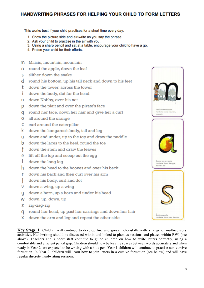# HANDWRITING PHRASES FOR HELPING YOUR CHILD TO FORM LETTERS

This works best if your child practises for a short time every day.

- 1. Show the picture side and air-write as you say the phrase.
- 2. Ask your child to practise in the air with you.
- 3. Using a sharp pencil and sat at a table, encourage your child to have a go.
- 4. Praise your child for their efforts.
- m Maisie, mountain, mountain
- round the apple, down the leaf  $\mathbf{a}$
- slither down the snake  $\overline{\phantom{0}}$
- $\mathsf{d}$ round his bottom, up his tall neck and down to his feet
- t down the tower, across the tower
- î. down the body, dot for the head
- down Nobby, over his net n
- down the plait and over the pirate's face p
- round her face, down her hair and give her a curl q
- all around the orange  $\Omega$
- $\mathsf{C}$ curl around the caterpillar
- k down the kangaroo's body, tail and leg
- down and under, up to the top and draw the puddle  $\mathbf{u}$
- b down the laces to the heel, round the toe
- f down the stem and draw the leaves
- e lift off the top and scoop out the egg
- T down the long leg
- h. down the head to the hooves and over his back
- down his back and then curl over his arm r
- down his body, curl and dot Ť
- $\overline{V}$ down a wing, up a wing
- down a horn, up a horn and under his head u
- W down, up, down, up
- Z zig-zag-zig
- round her head, up past her earrings and down her hair a
- down the arm and leg and repeat the other side X

**Key Stage 1:** Children will continue to develop fine and gross motor-skills with a range of multi-sensory activities. Handwriting should be discussed within and linked to phonics sessions and phases within RWI (see above). Teachers and support staff continue to guide children on how to write letters correctly, using a comfortable and efficient pencil grip. Children should now be leaving spaces between words accurately and when ready in Year 2, are expected to be writing with a blue pen. Year 1 children will continue to practise non-cursive formation. In Year 2, children will learn how to join letters in a cursive formation (see below) and will have regular discrete handwriting sessions.

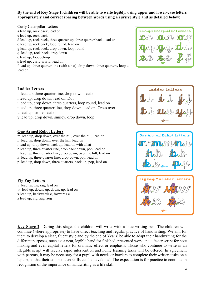# **By the end of Key Stage 1, children will be able to write legibly, using upper and lower-case letters appropriately and correct spacing between words using a cursive style and as detailed below**:

## Curly Caterpillar Letters

a lead up, rock back, lead on c lead up, rock back d lead up, rock back, three quarter up, three quarter back, lead on o lead up, rock back, loop round, lead on g lead up, rock back, drop down, loop round q lead up, rock back, drop down e lead up, loopdeloop s lead up, curly-wurly, lead on f lead up, three quarter line (with a hat), drop down, three quarters, loop to lead on

![](_page_3_Figure_3.jpeg)

![](_page_3_Figure_4.jpeg)

![](_page_3_Picture_5.jpeg)

![](_page_3_Picture_6.jpeg)

# **Ladder Letters**

l lead up, three quarter line, drop down, lead on i lead up, drop down, lead on. Dot j lead up, drop down, three quarters, loop round, lead on t lead up, three quarter line, drop down, lead on. Cross over u lead up, smile, lead on y lead up, drop down, smiley, drop down, loop

## **One Armed Robot Letters**

m lead up, drop down, over the hill, over the hill, lead on n lead up, drop down, over the hill, lead on r lead up, drop down, back up, lead on with a hat b lead up, three quarter line, drop back down, pop, lead on h lead up, three quarter line, drop down, over the hill, lead on k lead up, three quarter line, drop down, pop, lead on p lead up, drop down, three quarters, back up, pop, lead on

#### **Zig Zag Letters**

v lead up, zig zag, lead on w lead up, down, up, down, up, lead on x lead up, backwards c, forwards c z lead up, zig, zag, zog

**Key Stage 2:** During this stage, the children will write with a blue writing pen. The children will continue (where appropriate) to have direct teaching and regular practice of handwriting. We aim for them to develop a clear, fluent style and by the end of Year 6 be able to adapt their handwriting for the different purposes, such as: a neat, legible hand for finished, presented work and a faster script for note making and even capital letters for dramatic effect or emphasis. Those who continue to write in an illegible script will receive rapid intervention and home learning tasks will be offered. In agreement with parents, it may be necessary for a pupil with needs or barriers to complete their written tasks on a laptop, so that their composition skills can be developed. The expectation is for practice to continue in recognition of the importance of handwriting as a life skill.